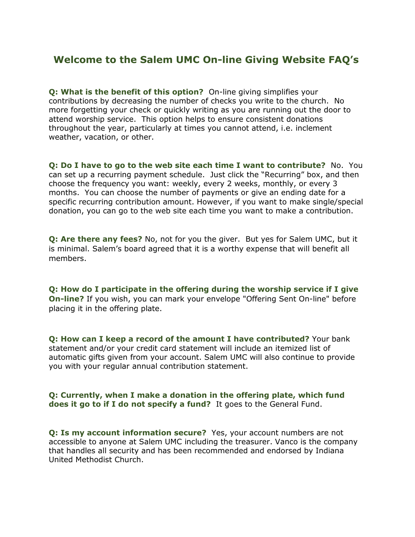## **Welcome to the Salem UMC On-line Giving Website FAQ's**

**Q: What is the benefit of this option?** On-line giving simplifies your contributions by decreasing the number of checks you write to the church. No more forgetting your check or quickly writing as you are running out the door to attend worship service. This option helps to ensure consistent donations throughout the year, particularly at times you cannot attend, i.e. inclement weather, vacation, or other.

**Q: Do I have to go to the web site each time I want to contribute?** No. You can set up a recurring payment schedule. Just click the "Recurring" box, and then choose the frequency you want: weekly, every 2 weeks, monthly, or every 3 months. You can choose the number of payments or give an ending date for a specific recurring contribution amount. However, if you want to make single/special donation, you can go to the web site each time you want to make a contribution.

**Q: Are there any fees?** No, not for you the giver. But yes for Salem UMC, but it is minimal. Salem's board agreed that it is a worthy expense that will benefit all members.

**Q: How do I participate in the offering during the worship service if I give On-line?** If you wish, you can mark your envelope "Offering Sent On-line" before placing it in the offering plate.

**Q: How can I keep a record of the amount I have contributed?** Your bank statement and/or your credit card statement will include an itemized list of automatic gifts given from your account. Salem UMC will also continue to provide you with your regular annual contribution statement.

## **Q: Currently, when I make a donation in the offering plate, which fund does it go to if I do not specify a fund?** It goes to the General Fund.

**Q: Is my account information secure?** Yes, your account numbers are not accessible to anyone at Salem UMC including the treasurer. Vanco is the company that handles all security and has been recommended and endorsed by Indiana United Methodist Church.